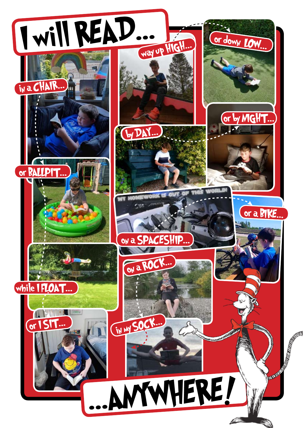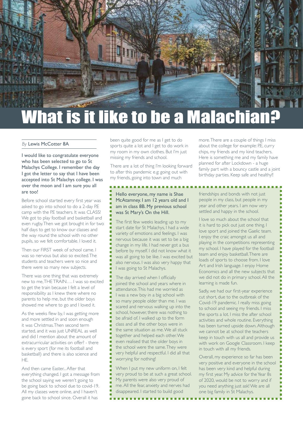

## *By* Lewis McCotter 8A

I would like to congratulate everyone who has been selected to go to St Malachys College. I remember the day I got the letter to say that I have been accepted into St Malachys college. I was over the moon and I am sure you all are too!

Before school started every first year was asked to go into school to do a 2-day P.E camp with the P.E teachers. It was CLASS! We got to play football and basketball and even rugby. Then we got brought in for two half days to get to know our classes and the way round the school with no other pupils, so we felt comfortable. I loved it.

Then our FIRST week of school came. I was so nervous but also so excited. The students and teachers were so nice and there were so many new subjects.

There was one thing that was extremely new to me, THE TRAIN…. I was so excited to get the train because I felt a level of responsibility as I knew there where no parents to help me, but the older boys showed me where to go and I loved it.

As the weeks flew by, I was getting more and more settled in and soon enough it was Christmas. Then second term started, and it was just UNREAL as well and did I mention about the amount of extracurricular activities on offer? - there is every sport (for me its football and basketball) and there is also science and HE.

And then came Faster... After that everything changed. I got a message from the school saying we weren't going to be going back to school due to covid-19. All my classes were online, and I haven't gone back to school since. Overall it has

been quite good for me as I get to do sports quite a lot and I get to do work in my room in my own clothes. But I'm just missing my friends and school.

There are a lot of thing I'm looking forward to after this pandemic e.g: going out with my friends, going into town and much

## Hello everyone, my name is Shae McAtamney. I am 12 years old and I am in class 8B. My previous school was St Mary's On the Hill.

The first few weeks leading up to my start date for St Malachys, I had a wide variety of emotions and feelings. I was nervous because it was set to be a big change in my life. I had never got a bus before by myself. I did not know what it was all going to be like. I was excited but also nervous. I was also very happy that I was going to St Malachys.

The day arrived when I officially joined the school and years where in attendance. This had me worried as I was a new boy in a big school with so many people older than me. I was scared and nervous walking up into the school, however, there was nothing to be afraid of. I walked up to the form class and all the other boys were in the same situation as me. We all stuck together and helped each other. We even realised that the older boys in the school were the same. They were very helpful and respectful. I did all that worrying for nothing!

When I put my new uniform on, I felt very proud to be at such a great school. My parents were also very proud of me. All the fear, anxiety and nerves had disappeared. I started to build good

more. There are a couple of things I miss about the college for example: P.E, curry chips, my friends and my kind teachers. Here is something me and my family have planned for after Lockdown - a huge family part with a bouncy castle and a joint birthday parties. Keep safe and healthy!!

friendships and bonds with not just people in my class, but people in my year and other years. I am now very settled and happy in the school.

I love so much about the school that it is hard to pick out just one thing. I love sport and joined the Gaelic team. I enjoy the craic amongst us all and playing in the competitions representing my school. I have played for the football team and enjoy basketball. There are loads of sports to choose from. I love Art and Irish language. I enjoy Home Economics and all the new subjects that we did not do in primary school. All the learning is made fun.

Sadly, we had our first-year experience cut short, due to the outbreak of the Covid-19 pandemic. I really miss going to school and seeing my friends. I miss the sports a lot. I miss the after school activities and whole routine. Everything has been turned upside down. Although we cannot be at school the teachers keep in touch with us all and provide us with work on Google Classroom. I keep in touch with all my friends.

Overall, my experience so far has been very positive and everyone in the school has been very kind and helpful during my first year. My advice for the Year 8s of 2020, would be not to worry and if you need anything just ask! We are all one big family in St Malachys.